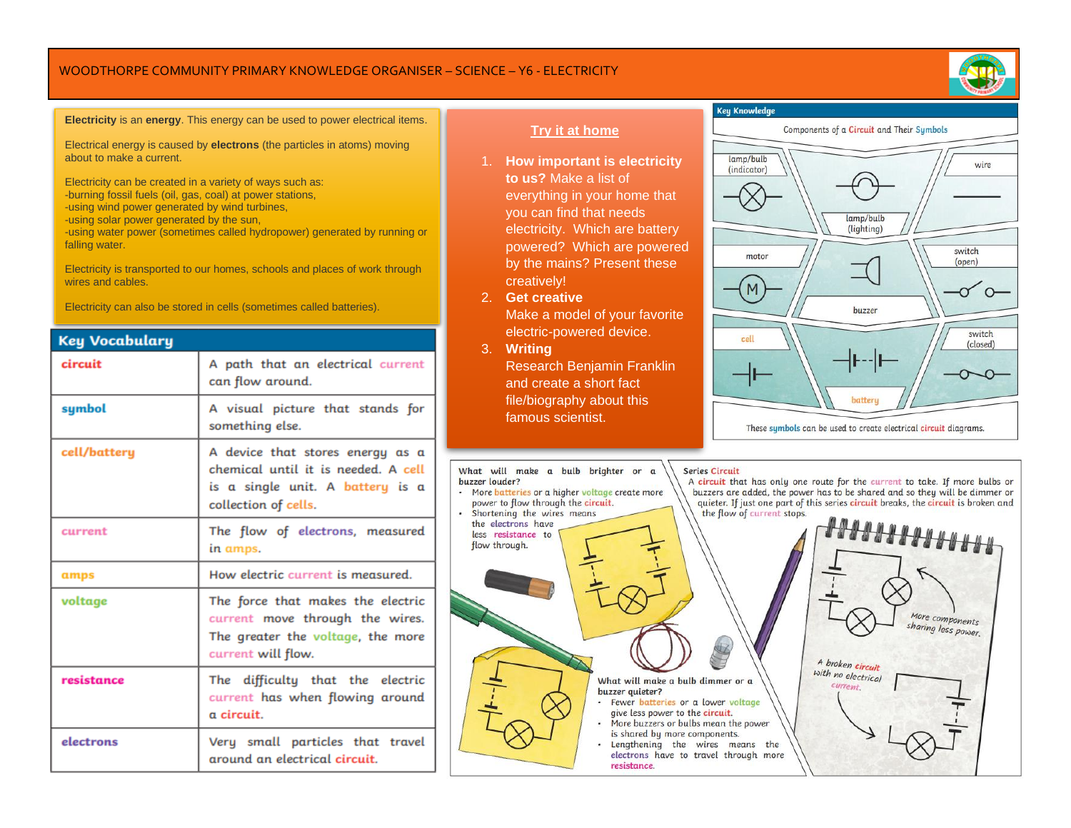## WOODTHORPE COMMUNITY PRIMARY KNOWLEDGE ORGANISER – SCIENCE – Y6 - ELECTRICITY



#### **Electricity** is an **energy**. This energy can be used to power electrical items.

Electrical energy is caused by **electrons** (the particles in atoms) moving about to make a current.

Electricity can be created in a variety of ways such as:

- -burning fossil fuels (oil, gas, coal) at power stations,
- -using wind power generated by wind turbines,
- -using solar power generated by the sun,

-using water power (sometimes called hydropower) generated by running or falling water.

Electricity is transported to our homes, schools and places of work through wires and cables.

Electricity can also be stored in cells (sometimes called batteries).

| <b>Key Vocabulary</b> |                                                                                                                                     |
|-----------------------|-------------------------------------------------------------------------------------------------------------------------------------|
| circuit               | A path that an electrical current<br>can flow around.                                                                               |
| symbol                | A visual picture that stands for<br>something else.                                                                                 |
| cell/battery          | A device that stores energy as a<br>chemical until it is needed. A cell<br>is a single unit. A battery is a<br>collection of cells. |
| current               | The flow of electrons, measured<br>in amps.                                                                                         |
| amps                  | How electric current is measured.                                                                                                   |
| voltage               | The force that makes the electric<br>current move through the wires.<br>The greater the voltage, the more<br>current will flow.     |
| resistance            | The difficulty that the electric<br>current has when flowing around<br>a circuit.                                                   |
| electrons             | Very small particles that travel<br>around an electrical circuit.                                                                   |

## **Try it at home**

- 1. **How important is electricity to us?** Make a list of everything in your home that you can find that needs electricity. Which are battery powered? Which are powered by the mains? Present these creatively!
- 2. **Get creative**

Make a model of your favorite electric-powered device.

3. **Writing** Research Benjamin Franklin and create a short fact file/biography about this famous scientist.

What will make a bulb brighter or a

• More batteries or a higher voltage create more

power to flow through the circuit.

buzzer louder?



These symbols can be used to create electrical circuit diagrams.

#### **Series Circuit**

A circuit that has only one route for the current to take. If more bulbs or buzzers are added, the power has to be shared and so they will be dimmer or quieter. If just one part of this series circuit breaks, the circuit is broken and the flow of current stops.